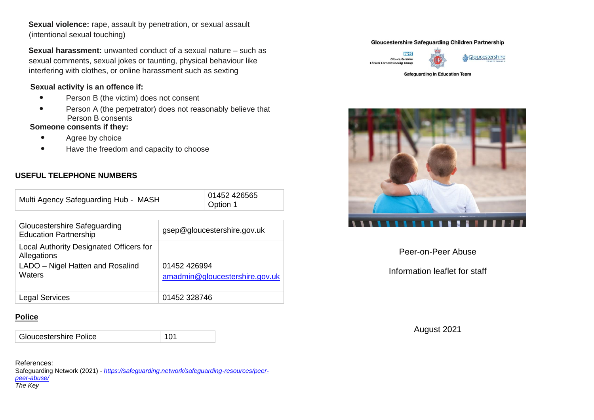**Sexual violence:** rape, assault by penetration, or sexual assault (intentional sexual touching)

**Sexual harassment:** unwanted conduct of a sexual nature – such as sexual comments, sexual jokes or taunting, physical behaviour like interfering with clothes, or online harassment such as sexting

#### **Sexual activity is an offence if:**

- Person B (the victim) does not consent
- Person A (the perpetrator) does not reasonably believe that Person B consents

### **Someone consents if they:**

- Agree by choice
- Have the freedom and capacity to choose

# **USEFUL TELEPHONE NUMBERS**

| Multi Agency Safeguarding Hub - MASH                                                                 |                                                | 01452 426565<br>Option 1 |
|------------------------------------------------------------------------------------------------------|------------------------------------------------|--------------------------|
|                                                                                                      |                                                |                          |
| Gloucestershire Safeguarding<br><b>Education Partnership</b>                                         | gsep@gloucestershire.gov.uk                    |                          |
| Local Authority Designated Officers for<br>Allegations<br>LADO – Nigel Hatten and Rosalind<br>Waters | 01452 426994<br>amadmin@gloucestershire.gov.uk |                          |
| Legal Services                                                                                       | 01452 328746                                   |                          |

# **Police**

Gloucestershire Police 101

References: Safeguarding Network (2021) - *[https://safeguarding.network/safeguarding-resources/peer](https://safeguarding.network/safeguarding-resources/peer-peer-abuse/)[peer-abuse/](https://safeguarding.network/safeguarding-resources/peer-peer-abuse/) The Key*

#### **Gloucestershire Safeguarding Children Partnership**





& Gloucestershire

**Safeguarding in Education Team** 



Peer-on-Peer Abuse

Information leaflet for staff

August 2021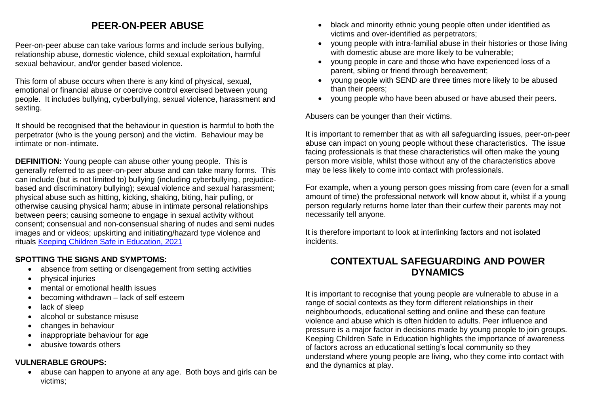# **PEER-ON-PEER ABUSE**

Peer-on-peer abuse can take various forms and include serious bullying, relationship abuse, domestic violence, child sexual exploitation, harmful sexual behaviour, and/or gender based violence.

This form of abuse occurs when there is any kind of physical, sexual, emotional or financial abuse or coercive control exercised between young people. It includes bullying, cyberbullying, sexual violence, harassment and sexting.

It should be recognised that the behaviour in question is harmful to both the perpetrator (who is the young person) and the victim. Behaviour may be intimate or non-intimate.

**DEFINITION:** Young people can abuse other young people. This is generally referred to as peer-on-peer abuse and can take many forms. This can include (but is not limited to) bullying (including cyberbullying, prejudicebased and discriminatory bullying); sexual violence and sexual harassment; physical abuse such as hitting, kicking, shaking, biting, hair pulling, or otherwise causing physical harm; abuse in intimate personal relationships between peers; causing someone to engage in sexual activity without consent; consensual and non-consensual sharing of nudes and semi nudes images and or videos; upskirting and initiating/hazard type violence and rituals [Keeping Children Safe in Education, 2021](https://assets.publishing.service.gov.uk/government/uploads/system/uploads/attachment_data/file/999348/Keeping_children_safe_in_education_2021.pdf)

# **SPOTTING THE SIGNS AND SYMPTOMS:**

- absence from setting or disengagement from setting activities
- physical injuries
- mental or emotional health issues
- becoming withdrawn lack of self esteem
- lack of sleep
- alcohol or substance misuse
- changes in behaviour
- inappropriate behaviour for age
- abusive towards others

# **VULNERABLE GROUPS:**

• abuse can happen to anyone at any age. Both boys and girls can be victims;

- black and minority ethnic young people often under identified as victims and over-identified as perpetrators;
- young people with intra-familial abuse in their histories or those living with domestic abuse are more likely to be vulnerable;
- young people in care and those who have experienced loss of a parent, sibling or friend through bereavement;
- young people with SEND are three times more likely to be abused than their peers;
- voung people who have been abused or have abused their peers.

Abusers can be younger than their victims.

It is important to remember that as with all safeguarding issues, peer-on-peer abuse can impact on young people without these characteristics. The issue facing professionals is that these characteristics will often make the young person more visible, whilst those without any of the characteristics above may be less likely to come into contact with professionals.

For example, when a young person goes missing from care (even for a small amount of time) the professional network will know about it, whilst if a young person regularly returns home later than their curfew their parents may not necessarily tell anyone.

It is therefore important to look at interlinking factors and not isolated incidents.

# **CONTEXTUAL SAFEGUARDING AND POWER DYNAMICS**

It is important to recognise that young people are vulnerable to abuse in a range of social contexts as they form different relationships in their neighbourhoods, educational setting and online and these can feature violence and abuse which is often hidden to adults. Peer influence and pressure is a major factor in decisions made by young people to join groups. Keeping Children Safe in Education highlights the importance of awareness of factors across an educational setting's local community so they understand where young people are living, who they come into contact with and the dynamics at play.